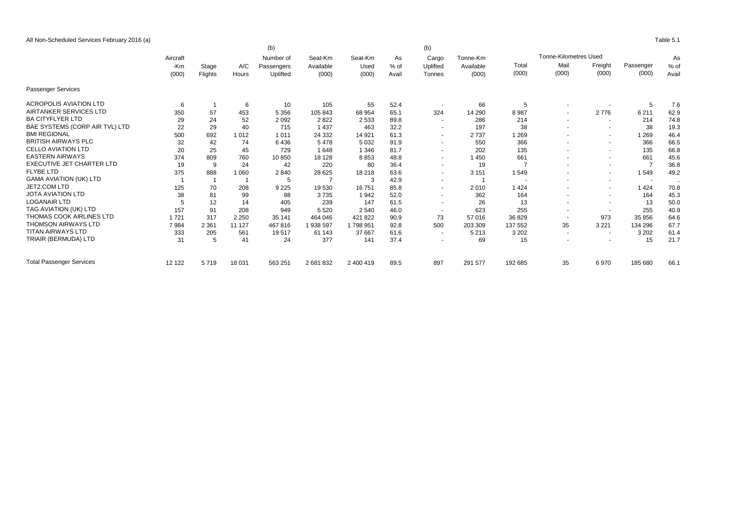All Non-Scheduled Services February 2016 (a) Table 5.1

|                                  |              | (b)<br>(b) |         |                         |                      |                 |              |                          |                       |                              |                          |                          |           |              |       |       |
|----------------------------------|--------------|------------|---------|-------------------------|----------------------|-----------------|--------------|--------------------------|-----------------------|------------------------------|--------------------------|--------------------------|-----------|--------------|-------|-------|
|                                  | Aircraft     |            |         | Number of<br>Passengers | Seat-Km<br>Available | Seat-Km<br>Used | As<br>$%$ of | Cargo<br>Uplifted        | Tonne-Km<br>Available | <b>Tonne-Kilometres Used</b> |                          |                          |           |              |       |       |
|                                  | -Km<br>(000) | Stage      | A/C     |                         |                      |                 |              |                          |                       | Total                        | Mail                     | Freight                  | Passenger | As<br>$%$ of |       |       |
|                                  |              |            |         | Flights                 | Hours                | Uplifted        | (000)        | (000)                    | Avail                 | Tonnes                       | (000)                    | (000)                    | (000)     | (000)        | (000) | Avail |
| <b>Passenger Services</b>        |              |            |         |                         |                      |                 |              |                          |                       |                              |                          |                          |           |              |       |       |
| <b>ACROPOLIS AVIATION LTD</b>    | 6            |            | 6       | 10                      | 105                  | 55              | 52.4         |                          | 66                    | 5                            |                          |                          | 5         | 7.6          |       |       |
| AIRTANKER SERVICES LTD           | 350          | 57         | 453     | 5 3 5 6                 | 105 843              | 68 954          | 65.1         | 324                      | 14 290                | 8987                         |                          | 2776                     | 6 2 1 1   | 62.9         |       |       |
| <b>BA CITYFLYER LTD</b>          | 29           | 24         | 52      | 2092                    | 2822                 | 2 5 3 3         | 89.8         | $\sim$                   | 286                   | 214                          | $\sim$                   | $\overline{\phantom{a}}$ | 214       | 74.8         |       |       |
| BAE SYSTEMS (CORP AIR TVL) LTD   | 22           | 29         | 40      | 715                     | 1 4 3 7              | 463             | 32.2         | $\overline{\phantom{a}}$ | 197                   | 38                           |                          | $\sim$                   | 38        | 19.3         |       |       |
| <b>BMI REGIONAL</b>              | 500          | 692        | 1012    | 1 0 1 1                 | 24 3 32              | 14 9 21         | 61.3         | $\sim$                   | 2737                  | 1 2 6 9                      |                          | $\sim$                   | 1 2 6 9   | 46.4         |       |       |
| <b>BRITISH AIRWAYS PLC</b>       | 32           | 42         | 74      | 6436                    | 5478                 | 5 0 3 2         | 91.9         | $\overline{\phantom{a}}$ | 550                   | 366                          |                          | $\sim$                   | 366       | 66.5         |       |       |
| <b>CELLO AVIATION LTD</b>        | 20           | 25         | 45      | 729                     | 1648                 | 1 3 4 6         | 81.7         | $\sim$                   | 202                   | 135                          |                          | $\sim$                   | 135       | 66.8         |       |       |
| <b>EASTERN AIRWAYS</b>           | 374          | 809        | 760     | 10850                   | 18 128               | 8853            | 48.8         | $\overline{\phantom{a}}$ | 1450                  | 661                          |                          | $\sim$                   | 661       | 45.6         |       |       |
| <b>EXECUTIVE JET CHARTER LTD</b> | 19           | 9          | 24      | 42                      | 220                  | 80              | 36.4         | $\sim$                   | 19                    | 7                            |                          | $\sim$                   |           | 36.8         |       |       |
| <b>FLYBE LTD</b>                 | 375          | 888        | 1060    | 2840                    | 28 6 25              | 18 218          | 63.6         | $\overline{\phantom{a}}$ | 3 1 5 1               | 1549                         |                          | $\overline{\phantom{a}}$ | 1549      | 49.2         |       |       |
| <b>GAMA AVIATION (UK) LTD</b>    |              |            |         | 5                       |                      | 3               | 42.9         | $\overline{\phantom{a}}$ |                       |                              |                          | $\sim$                   | $\sim$    | $\ddotsc$    |       |       |
| JET2.COM LTD                     | 125          | 70         | 208     | 9 2 2 5                 | 19530                | 16751           | 85.8         | $\sim$                   | 2010                  | 1424                         |                          | $\sim$                   | 1424      | 70.8         |       |       |
| <b>JOTA AVIATION LTD</b>         | 38           | 81         | 99      | 88                      | 3735                 | 1942            | 52.0         | $\overline{a}$           | 362                   | 164                          |                          | $\sim$                   | 164       | 45.3         |       |       |
| <b>LOGANAIR LTD</b>              |              | 12         | 14      | 405                     | 239                  | 147             | 61.5         | $\overline{\phantom{a}}$ | 26                    | 13                           |                          | $\overline{\phantom{a}}$ | 13        | 50.0         |       |       |
| TAG AVIATION (UK) LTD            | 157          | 91         | 208     | 949                     | 5 5 20               | 2 5 4 0         | 46.0         | $\sim$                   | 623                   | 255                          | $\overline{\phantom{a}}$ | $\overline{\phantom{a}}$ | 255       | 40.9         |       |       |
| THOMAS COOK AIRLINES LTD         | 1721         | 317        | 2 2 5 0 | 35 141                  | 464 046              | 421 822         | 90.9         | 73                       | 57 016                | 36 829                       | $\sim$                   | 973                      | 35 856    | 64.6         |       |       |
| <b>THOMSON AIRWAYS LTD</b>       | 7984         | 2 3 6 1    | 11 127  | 467816                  | 1 938 597            | 1798951         | 92.8         | 500                      | 203 309               | 137 552                      | 35                       | 3 2 2 1                  | 134 296   | 67.7         |       |       |
| <b>TITAN AIRWAYS LTD</b>         | 333          | 205        | 561     | 19517                   | 61 143               | 37 667          | 61.6         | $\sim$                   | 5 2 1 3               | 3 2 0 2                      | $\sim$                   | $\sim$                   | 3 2 0 2   | 61.4         |       |       |
| TRIAIR (BERMUDA) LTD             | 31           | 5          | 41      | 24                      | 377                  | 141             | 37.4         | $\overline{\phantom{a}}$ | 69                    | 15                           |                          | $\sim$                   | 15        | 21.7         |       |       |
| <b>Total Passenger Services</b>  | 12 122       | 5719       | 18 031  | 563 251                 | 2 681 832            | 2 400 419       | 89.5         | 897                      | 291 577               | 192 685                      | 35                       | 6970                     | 185 680   | 66.1         |       |       |